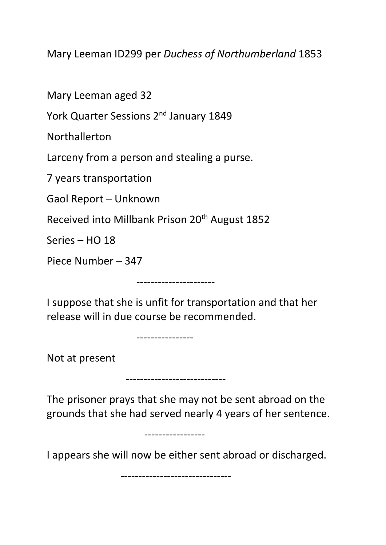Mary Leeman ID299 per *Duchess of Northumberland* 1853

Mary Leeman aged 32

York Quarter Sessions 2<sup>nd</sup> January 1849

Northallerton

Larceny from a person and stealing a purse.

7 years transportation

Gaol Report – Unknown

Received into Millbank Prison 20<sup>th</sup> August 1852

Series – HO 18

Piece Number – 347

I suppose that she is unfit for transportation and that her release will in due course be recommended.

----------------------

------------------<br>----------------

----------------------------

-----------------

Not at present

The prisoner prays that she may not be sent abroad on the grounds that she had served nearly 4 years of her sentence.

I appears she will now be either sent abroad or discharged.

-------------------------------